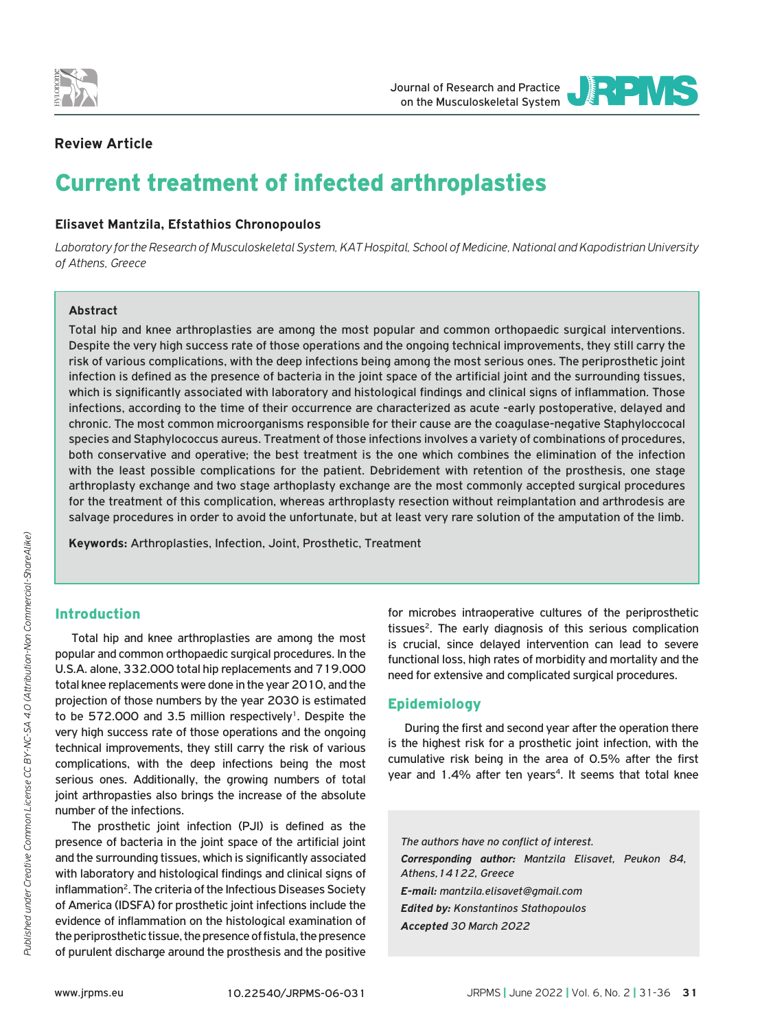

Journal of Research and Practice on the Musculoskeletal System



# **Review Article**

# Current treatment of infected arthroplasties

## **Elisavet Mantzila, Efstathios Chronopoulos**

*Laboratory for the Research of Musculoskeletal System, KAT Hospital, School of Medicine, National and Kapodistrian University of Athens, Greece*

#### **Abstract**

Total hip and knee arthroplasties are among the most popular and common orthopaedic surgical interventions. Despite the very high success rate of those operations and the ongoing technical improvements, they still carry the risk of various complications, with the deep infections being among the most serious ones. The periprosthetic joint infection is defined as the presence of bacteria in the joint space of the artificial joint and the surrounding tissues, which is significantly associated with laboratory and histological findings and clinical signs of inflammation. Those infections, according to the time of their occurrence are characterized as acute -early postoperative, delayed and chronic. The most common microorganisms responsible for their cause are the coagulase-negative Staphyloccocal species and Staphylococcus aureus. Treatment of those infections involves a variety of combinations of procedures, both conservative and operative; the best treatment is the one which combines the elimination of the infection with the least possible complications for the patient. Debridement with retention of the prosthesis, one stage arthroplasty exchange and two stage arthoplasty exchange are the most commonly accepted surgical procedures for the treatment of this complication, whereas arthroplasty resection without reimplantation and arthrodesis are salvage procedures in order to avoid the unfortunate, but at least very rare solution of the amputation of the limb.

**Keywords:** Arthroplasties, Infection, Joint, Prosthetic, Treatment

# Introduction

Total hip and knee arthroplasties are among the most popular and common orthopaedic surgical procedures. In the U.S.A. alone, 332.000 total hip replacements and 719.000 total knee replacements were done in the year 2010, and the projection of those numbers by the year 2030 is estimated to be 572.000 and 3.5 million respectively<sup>1</sup>. Despite the very high success rate of those operations and the ongoing technical improvements, they still carry the risk of various complications, with the deep infections being the most serious ones. Additionally, the growing numbers of total joint arthropasties also brings the increase of the absolute number of the infections.

The prosthetic joint infection (PJI) is defined as the presence of bacteria in the joint space of the artificial joint and the surrounding tissues, which is significantly associated with laboratory and histological findings and clinical signs of inflammation<sup>2</sup>. The criteria of the Infectious Diseases Society of America (IDSFA) for prosthetic joint infections include the evidence of inflammation on the histological examination of the periprosthetic tissue, the presence of fistula, the presence of purulent discharge around the prosthesis and the positive

for microbes intraoperative cultures of the periprosthetic tissues<sup>2</sup>. The early diagnosis of this serious complication is crucial, since delayed intervention can lead to severe functional loss, high rates of morbidity and mortality and the need for extensive and complicated surgical procedures.

## Epidemiology

During the first and second year after the operation there is the highest risk for a prosthetic joint infection, with the cumulative risk being in the area of 0.5% after the first year and 1.4% after ten years<sup>4</sup>. It seems that total knee

*The authors have no conflict of interest. Corresponding author: Mantzila Elisavet, Peukon 84, Athens,14122, Greece E-mail: mantzila.elisavet@gmail.com Edited by: Konstantinos Stathopoulos Accepted 30 March 2022*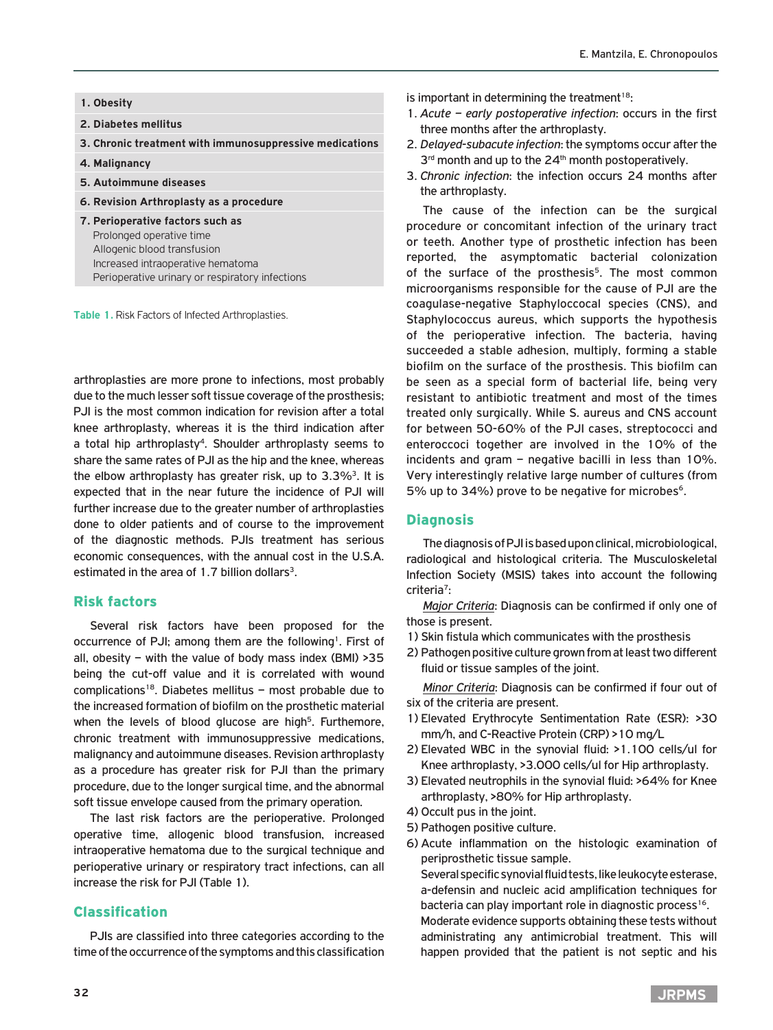#### **1. Obesity**

- **2. Diabetes mellitus**
- **3. Chronic treatment with immunosuppressive medications**
- **4. Malignancy**
- **5. Autoimmune diseases**
- **6. Revision Arthroplasty as a procedure**
- **7. Perioperative factors such as**  Prolonged operative time Allogenic blood transfusion Increased intraoperative hematoma Perioperative urinary or respiratory infections

**Table 1.** Risk Factors of Infected Arthroplasties.

arthroplasties are more prone to infections, most probably due to the much lesser soft tissue coverage of the prosthesis; PJI is the most common indication for revision after a total knee arthroplasty, whereas it is the third indication after a total hip arthroplasty<sup>4</sup>. Shoulder arthroplasty seems to share the same rates of PJI as the hip and the knee, whereas the elbow arthroplasty has greater risk, up to  $3.3\%$ <sup>3</sup>. It is expected that in the near future the incidence of PJI will further increase due to the greater number of arthroplasties done to older patients and of course to the improvement of the diagnostic methods. PJIs treatment has serious economic consequences, with the annual cost in the U.S.A. estimated in the area of 1.7 billion dollars<sup>3</sup>.

#### Risk factors

Several risk factors have been proposed for the occurrence of PJI; among them are the following<sup>1</sup>. First of all, obesity – with the value of body mass index (BMI)  $>35$ being the cut-off value and it is correlated with wound complications<sup>18</sup>. Diabetes mellitus – most probable due to the increased formation of biofilm on the prosthetic material when the levels of blood glucose are high<sup>5</sup>. Furthemore, chronic treatment with immunosuppressive medications, malignancy and autoimmune diseases. Revision arthroplasty as a procedure has greater risk for PJI than the primary procedure, due to the longer surgical time, and the abnormal soft tissue envelope caused from the primary operation.

The last risk factors are the perioperative. Prolonged operative time, allogenic blood transfusion, increased intraoperative hematoma due to the surgical technique and perioperative urinary or respiratory tract infections, can all increase the risk for PJI (Table 1).

## Classification

PJIs are classified into three categories according to the time of the occurrence of the symptoms and this classification

- is important in determining the treatment $18$ :
- 1. *Acute early postoperative infection*: occurs in the first three months after the arthroplasty.
- 2. *Delayed-subacute infection*: the symptoms occur after the 3<sup>rd</sup> month and up to the 24<sup>th</sup> month postoperatively.
- 3. *Chronic infection*: the infection occurs 24 months after the arthroplasty.

The cause of the infection can be the surgical procedure or concomitant infection of the urinary tract or teeth. Another type of prosthetic infection has been reported, the asymptomatic bacterial colonization of the surface of the prosthesis<sup>5</sup>. The most common microorganisms responsible for the cause of PJI are the coagulase-negative Staphyloccocal species (CNS), and Staphylococcus aureus, which supports the hypothesis of the perioperative infection. The bacteria, having succeeded a stable adhesion, multiply, forming a stable biofilm on the surface of the prosthesis. This biofilm can be seen as a special form of bacterial life, being very resistant to antibiotic treatment and most of the times treated only surgically. While S. aureus and CNS account for between 50-60% of the PJI cases, streptococci and enteroccoci together are involved in the 10% of the incidents and gram – negative bacilli in less than 10%. Very interestingly relative large number of cultures (from 5% up to 34%) prove to be negative for microbes<sup>6</sup>.

#### **Diagnosis**

The diagnosis of PJI is based upon clinical, microbiological, radiological and histological criteria. The Musculoskeletal Infection Society (MSIS) takes into account the following criteria7:

*Major Criteria*: Diagnosis can be confirmed if only one of those is present.

- 1) Skin fistula which communicates with the prosthesis
- 2) Pathogen positive culture grown from at least two different fluid or tissue samples of the joint.

*Minor Criteria*: Diagnosis can be confirmed if four out of six of the criteria are present.

- 1) Elevated Erythrocyte Sentimentation Rate (ESR): >30 mm/h, and C-Reactive Protein (CRP) >10 mg/L
- 2) Elevated WBC in the synovial fluid: >1.100 cells/ul for Knee arthroplasty, >3.000 cells/ul for Hip arthroplasty.
- 3) Elevated neutrophils in the synovial fluid: >64% for Knee arthroplasty, >80% for Hip arthroplasty.
- 4) Occult pus in the joint.
- 5) Pathogen positive culture.
- 6) Acute inflammation on the histologic examination of periprosthetic tissue sample.

 Several specific synovial fluid tests, like leukocyte esterase, a-defensin and nucleic acid amplification techniques for bacteria can play important role in diagnostic process<sup>16</sup>.

 Moderate evidence supports obtaining these tests without administrating any antimicrobial treatment. Τhis will happen provided that the patient is not septic and his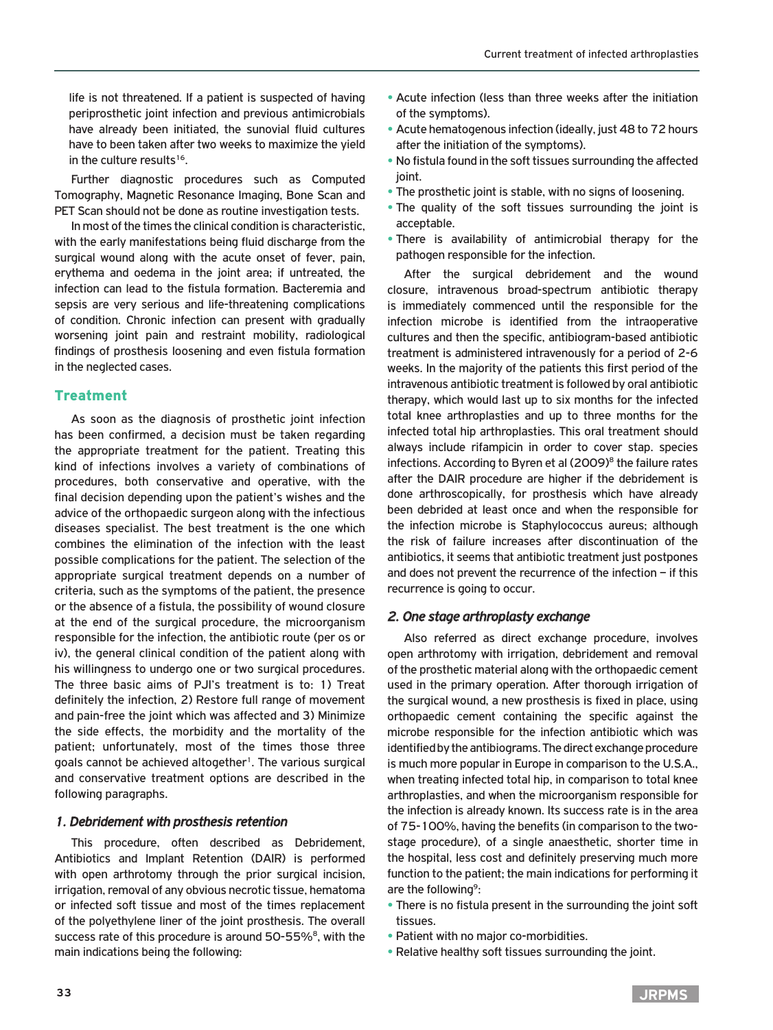life is not threatened. If a patient is suspected of having periprosthetic joint infection and previous antimicrobials have already been initiated, the sunovial fluid cultures have to been taken after two weeks to maximize the yield in the culture results<sup>16</sup>.

Further diagnostic procedures such as Computed Tomography, Magnetic Resonance Imaging, Bone Scan and PET Scan should not be done as routine investigation tests.

In most of the times the clinical condition is characteristic, with the early manifestations being fluid discharge from the surgical wound along with the acute onset of fever, pain, erythema and oedema in the joint area; if untreated, the infection can lead to the fistula formation. Bacteremia and sepsis are very serious and life-threatening complications of condition. Chronic infection can present with gradually worsening joint pain and restraint mobility, radiological findings of prosthesis loosening and even fistula formation in the neglected cases.

# Treatment

As soon as the diagnosis of prosthetic joint infection has been confirmed, a decision must be taken regarding the appropriate treatment for the patient. Treating this kind of infections involves a variety of combinations of procedures, both conservative and operative, with the final decision depending upon the patient's wishes and the advice of the orthopaedic surgeon along with the infectious diseases specialist. The best treatment is the one which combines the elimination of the infection with the least possible complications for the patient. The selection of the appropriate surgical treatment depends on a number of criteria, such as the symptoms of the patient, the presence or the absence of a fistula, the possibility of wound closure at the end of the surgical procedure, the microorganism responsible for the infection, the antibiotic route (per os or iv), the general clinical condition of the patient along with his willingness to undergo one or two surgical procedures. The three basic aims of PJI's treatment is to: 1) Treat definitely the infection, 2) Restore full range of movement and pain-free the joint which was affected and 3) Minimize the side effects, the morbidity and the mortality of the patient; unfortunately, most of the times those three goals cannot be achieved altogether<sup>1</sup>. The various surgical and conservative treatment options are described in the following paragraphs.

#### *1. Debridement with prosthesis retention*

This procedure, often described as Debridement, Antibiotics and Implant Retention (DAIR) is performed with open arthrotomy through the prior surgical incision, irrigation, removal of any obvious necrotic tissue, hematoma or infected soft tissue and most of the times replacement of the polyethylene liner of the joint prosthesis. The overall success rate of this procedure is around 50-55%<sup>8</sup>, with the main indications being the following:

- **•** Acute infection (less than three weeks after the initiation of the symptoms).
- **•** Acute hematogenous infection (ideally, just 48 to 72 hours after the initiation of the symptoms).
- **•** No fistula found in the soft tissues surrounding the affected joint.
- **•** The prosthetic joint is stable, with no signs of loosening.
- **•** The quality of the soft tissues surrounding the joint is acceptable.
- **•** There is availability of antimicrobial therapy for the pathogen responsible for the infection.

After the surgical debridement and the wound closure, intravenous broad-spectrum antibiotic therapy is immediately commenced until the responsible for the infection microbe is identified from the intraoperative cultures and then the specific, antibiogram-based antibiotic treatment is administered intravenously for a period of 2-6 weeks. In the majority of the patients this first period of the intravenous antibiotic treatment is followed by oral antibiotic therapy, which would last up to six months for the infected total knee arthroplasties and up to three months for the infected total hip arthroplasties. This oral treatment should always include rifampicin in order to cover stap. species infections. According to Byren et al  $(2009)^8$  the failure rates after the DAIR procedure are higher if the debridement is done arthroscopically, for prosthesis which have already been debrided at least once and when the responsible for the infection microbe is Staphylococcus aureus; although the risk of failure increases after discontinuation of the antibiotics, it seems that antibiotic treatment just postpones and does not prevent the recurrence of the infection – if this recurrence is going to occur.

## *2. One stage arthroplasty exchange*

Also referred as direct exchange procedure, involves open arthrotomy with irrigation, debridement and removal of the prosthetic material along with the orthopaedic cement used in the primary operation. After thorough irrigation of the surgical wound, a new prosthesis is fixed in place, using orthopaedic cement containing the specific against the microbe responsible for the infection antibiotic which was identified by the antibiograms. The direct exchange procedure is much more popular in Europe in comparison to the U.S.A., when treating infected total hip, in comparison to total knee arthroplasties, and when the microorganism responsible for the infection is already known. Its success rate is in the area of 75-100%, having the benefits (in comparison to the twostage procedure), of a single anaesthetic, shorter time in the hospital, less cost and definitely preserving much more function to the patient; the main indications for performing it are the following<sup>9</sup>:

- **•** There is no fistula present in the surrounding the joint soft tissues.
- **•** Patient with no major co-morbidities.
- **•** Relative healthy soft tissues surrounding the joint.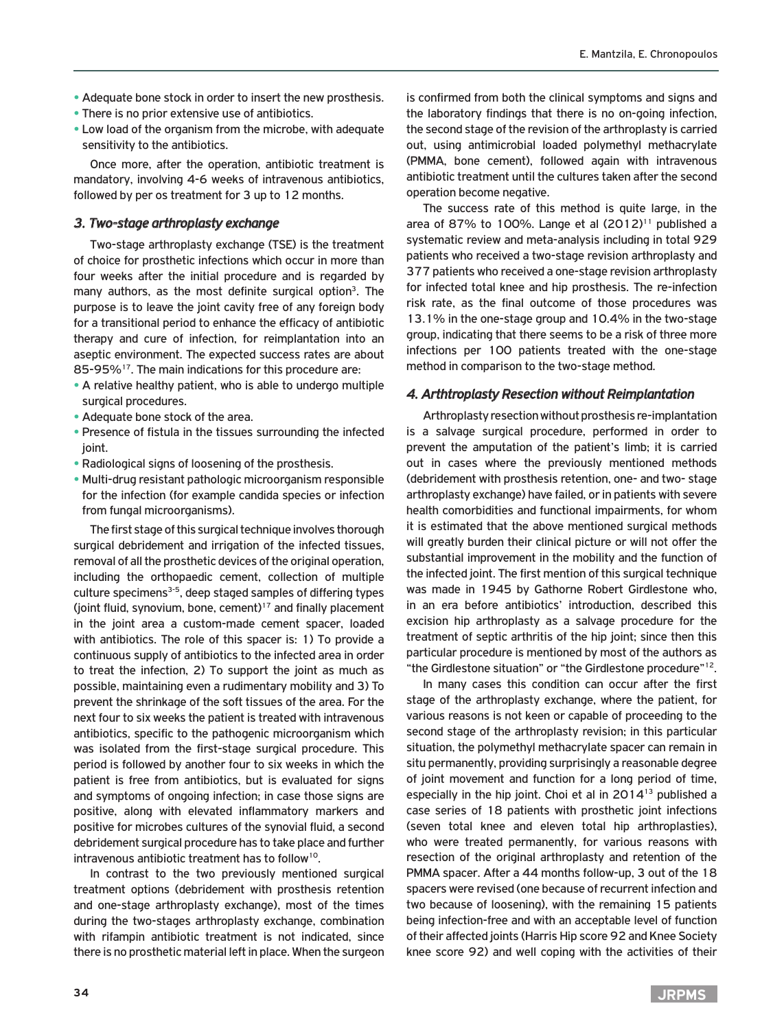- **•** Adequate bone stock in order to insert the new prosthesis.
- **•** There is no prior extensive use of antibiotics.
- **•** Low load of the organism from the microbe, with adequate sensitivity to the antibiotics.

Once more, after the operation, antibiotic treatment is mandatory, involving 4-6 weeks of intravenous antibiotics, followed by per os treatment for 3 up to 12 months.

### *3. Two-stage arthroplasty exchange*

Two-stage arthroplasty exchange (TSE) is the treatment of choice for prosthetic infections which occur in more than four weeks after the initial procedure and is regarded by many authors, as the most definite surgical option<sup>3</sup>. The purpose is to leave the joint cavity free of any foreign body for a transitional period to enhance the efficacy of antibiotic therapy and cure of infection, for reimplantation into an aseptic environment. The expected success rates are about 85-95%<sup>17</sup>. The main indications for this procedure are:

- **•** A relative healthy patient, who is able to undergo multiple surgical procedures.
- **•** Adequate bone stock of the area.
- **•** Presence of fistula in the tissues surrounding the infected ioint.
- **•** Radiological signs of loosening of the prosthesis.
- **•** Multi-drug resistant pathologic microorganism responsible for the infection (for example candida species or infection from fungal microorganisms).

The first stage of this surgical technique involves thorough surgical debridement and irrigation of the infected tissues, removal of all the prosthetic devices of the original operation, including the orthopaedic cement, collection of multiple culture specimens<sup>3-5</sup>, deep staged samples of differing types (joint fluid, synovium, bone, cement) $17$  and finally placement in the joint area a custom-made cement spacer, loaded with antibiotics. The role of this spacer is: 1) To provide a continuous supply of antibiotics to the infected area in order to treat the infection, 2) To support the joint as much as possible, maintaining even a rudimentary mobility and 3) Το prevent the shrinkage of the soft tissues of the area. For the next four to six weeks the patient is treated with intravenous antibiotics, specific to the pathogenic microorganism which was isolated from the first-stage surgical procedure. This period is followed by another four to six weeks in which the patient is free from antibiotics, but is evaluated for signs and symptoms of ongoing infection; in case those signs are positive, along with elevated inflammatory markers and positive for microbes cultures of the synovial fluid, a second debridement surgical procedure has to take place and further intravenous antibiotic treatment has to follow<sup>10</sup>.

In contrast to the two previously mentioned surgical treatment options (debridement with prosthesis retention and one-stage arthroplasty exchange), most of the times during the two-stages arthroplasty exchange, combination with rifampin antibiotic treatment is not indicated, since there is no prosthetic material left in place. When the surgeon is confirmed from both the clinical symptoms and signs and the laboratory findings that there is no on-going infection, the second stage of the revision of the arthroplasty is carried out, using antimicrobial loaded polymethyl methacrylate (PMMA, bone cement), followed again with intravenous antibiotic treatment until the cultures taken after the second operation become negative.

The success rate of this method is quite large, in the area of 87% to 100%. Lange et al  $(2012)^{11}$  published a systematic review and meta-analysis including in total 929 patients who received a two-stage revision arthroplasty and 377 patients who received a one-stage revision arthroplasty for infected total knee and hip prosthesis. The re-infection risk rate, as the final outcome of those procedures was 13.1% in the one-stage group and 10.4% in the two-stage group, indicating that there seems to be a risk of three more infections per 100 patients treated with the one-stage method in comparison to the two-stage method.

#### *4. Arthtroplasty Resection without Reimplantation*

Arthroplasty resection without prosthesis re-implantation is a salvage surgical procedure, performed in order to prevent the amputation of the patient's limb; it is carried out in cases where the previously mentioned methods (debridement with prosthesis retention, one- and two- stage arthroplasty exchange) have failed, or in patients with severe health comorbidities and functional impairments, for whom it is estimated that the above mentioned surgical methods will greatly burden their clinical picture or will not offer the substantial improvement in the mobility and the function of the infected joint. The first mention of this surgical technique was made in 1945 by Gathorne Robert Girdlestone who, in an era before antibiotics' introduction, described this excision hip arthroplasty as a salvage procedure for the treatment of septic arthritis of the hip joint; since then this particular procedure is mentioned by most of the authors as "the Girdlestone situation" or "the Girdlestone procedure"12.

In many cases this condition can occur after the first stage of the arthroplasty exchange, where the patient, for various reasons is not keen or capable of proceeding to the second stage of the arthroplasty revision; in this particular situation, the polymethyl methacrylate spacer can remain in situ permanently, providing surprisingly a reasonable degree of joint movement and function for a long period of time, especially in the hip joint. Choi et al in 2014<sup>13</sup> published a case series of 18 patients with prosthetic joint infections (seven total knee and eleven total hip arthroplasties), who were treated permanently, for various reasons with resection of the original arthroplasty and retention of the PMMA spacer. After a 44 months follow-up, 3 out of the 18 spacers were revised (one because of recurrent infection and two because of loosening), with the remaining 15 patients being infection-free and with an acceptable level of function of their affected joints (Harris Hip score 92 and Knee Society knee score 92) and well coping with the activities of their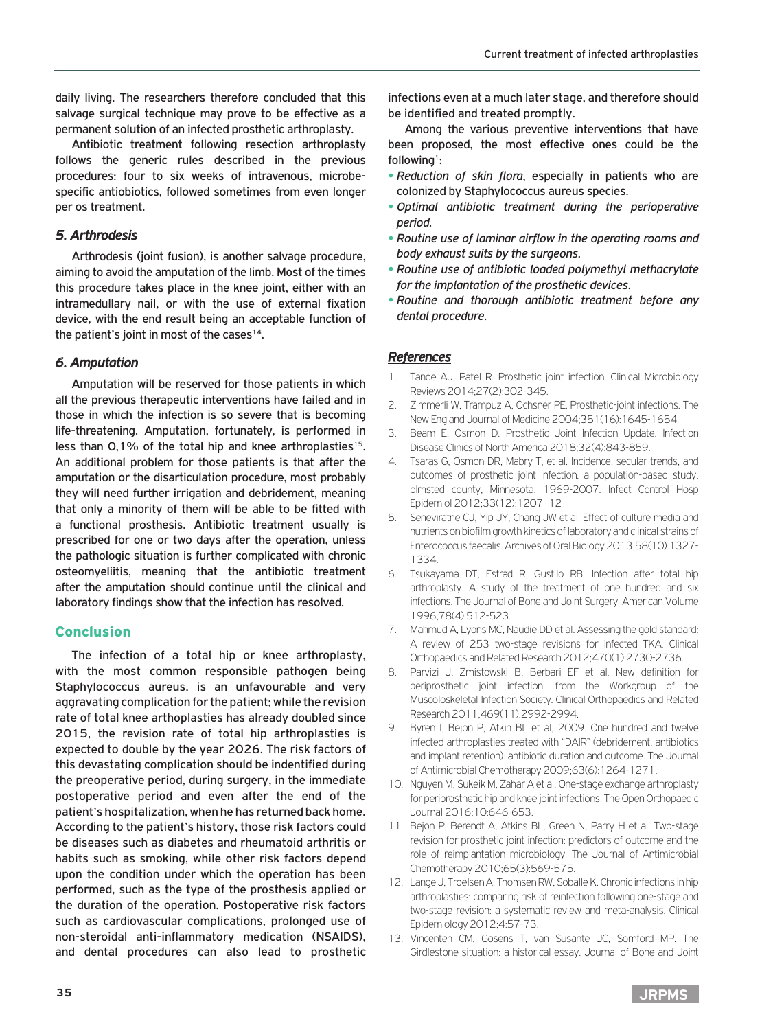daily living. The researchers therefore concluded that this salvage surgical technique may prove to be effective as a permanent solution of an infected prosthetic arthroplasty.

Antibiotic treatment following resection arthroplasty follows the generic rules described in the previous procedures: four to six weeks of intravenous, microbespecific antiobiotics, followed sometimes from even longer per os treatment.

# *5. Arthrodesis*

Arthrodesis (joint fusion), is another salvage procedure, aiming to avoid the amputation of the limb. Most of the times this procedure takes place in the knee joint, either with an intramedullary nail, or with the use of external fixation device, with the end result being an acceptable function of the patient's joint in most of the cases $14$ .

# *6. Amputation*

Amputation will be reserved for those patients in which all the previous therapeutic interventions have failed and in those in which the infection is so severe that is becoming life-threatening. Amputation, fortunately, is performed in less than  $0.1\%$  of the total hip and knee arthroplasties<sup>15</sup>. An additional problem for those patients is that after the amputation or the disarticulation procedure, most probably they will need further irrigation and debridement, meaning that only a minority of them will be able to be fitted with a functional prosthesis. Antibiotic treatment usually is prescribed for one or two days after the operation, unless the pathologic situation is further complicated with chronic osteomyeliitis, meaning that the antibiotic treatment after the amputation should continue until the clinical and laboratory findings show that the infection has resolved.

## Conclusion

The infection of a total hip or knee arthroplasty, with the most common responsible pathogen being Staphylococcus aureus, is an unfavourable and very aggravating complication for the patient; while the revision rate of total knee arthoplasties has already doubled since 2015, the revision rate of total hip arthroplasties is expected to double by the year 2026. The risk factors of this devastating complication should be indentified during the preoperative period, during surgery, in the immediate postoperative period and even after the end of the patient's hospitalization, when he has returned back home. According to the patient's history, those risk factors could be diseases such as diabetes and rheumatoid arthritis or habits such as smoking, while other risk factors depend upon the condition under which the operation has been performed, such as the type of the prosthesis applied or the duration of the operation. Postoperative risk factors such as cardiovascular complications, prolonged use of non-steroidal anti-inflammatory medication (NSAIDS), and dental procedures can also lead to prosthetic

infections even at a much later stage, and therefore should be identified and treated promptly.

Among the various preventive interventions that have been proposed, the most effective ones could be the following<sup>1</sup>:

- **•** *Reduction of skin flora*, especially in patients who are colonized by Staphylococcus aureus species.
- **•** *Optimal antibiotic treatment during the perioperative period.*
- **•** *Routine use of laminar airflow in the operating rooms and body exhaust suits by the surgeons*.
- **•** *Routine use of antibiotic loaded polymethyl methacrylate for the implantation of the prosthetic devices*.
- **•** *Routine and thorough antibiotic treatment before any dental procedure*.

# *References*

- 1. Tande AJ, Patel R. Prosthetic joint infection. Clinical Microbiology Reviews 2014;27(2):302-345.
- 2. Zimmerli W, Trampuz A, Ochsner PE. Prosthetic-joint infections. The New England Journal of Medicine 2004;351(16):1645-1654.
- 3. Beam E, Osmon D. Prosthetic Joint Infection Update. Infection Disease Clinics of North America 2018;32(4):843-859.
- 4. Tsaras G, Osmon DR, Mabry T, et al. Incidence, secular trends, and outcomes of prosthetic joint infection: a population-based study, olmsted county, Minnesota, 1969-2007. Infect Control Hosp Epidemiol 2012;33(12):1207–12
- 5. Seneviratne CJ, Yip JY, Chang JW et al. Effect of culture media and nutrients on biofilm growth kinetics of laboratory and clinical strains of Enterococcus faecalis. Archives of Oral Biology 2013;58(10):1327- 1334.
- 6. Tsukayama DT, Estrad R, Gustilo RB. Infection after total hip arthroplasty. A study of the treatment of one hundred and six infections. The Journal of Bone and Joint Surgery. American Volume 1996;78(4):512-523.
- 7. Mahmud A, Lyons MC, Naudie DD et al. Assessing the gold standard: A review of 253 two-stage revisions for infected TKA. Clinical Orthopaedics and Related Research 2012;470(1):2730-2736.
- 8. Parvizi J, Zmistowski B, Berbari EF et al. New definition for periprosthetic joint infection: from the Workgroup of the Muscoloskeletal Infection Society. Clinical Orthopaedics and Related Research 2011;469(11):2992-2994.
- 9. Byren I, Bejon P, Atkin BL et al, 2009. One hundred and twelve infected arthroplasties treated with "DAIR" (debridement, antibiotics and implant retention): antibiotic duration and outcome. The Journal of Antimicrobial Chemotherapy 2009;63(6):1264-1271.
- 10. Nguyen M, Sukeik M, Zahar A et al. One-stage exchange arthroplasty for periprosthetic hip and knee joint infections. The Open Orthopaedic Journal 2016;10:646-653.
- 11. Bejon P, Berendt A, Atkins BL, Green N, Parry H et al. Two-stage revision for prosthetic joint infection: predictors of outcome and the role of reimplantation microbiology. The Journal of Antimicrobial Chemotherapy 2010;65(3):569-575.
- 12. Lange J, Troelsen A, Thomsen RW, Soballe K. Chronic infections in hip arthroplasties: comparing risk of reinfection following one-stage and two-stage revision: a systematic review and meta-analysis. Clinical Epidemiology 2012;4:57-73.
- 13. Vincenten CM, Gosens T, van Susante JC, Somford MP. The Girdlestone situation: a historical essay. Journal of Bone and Joint